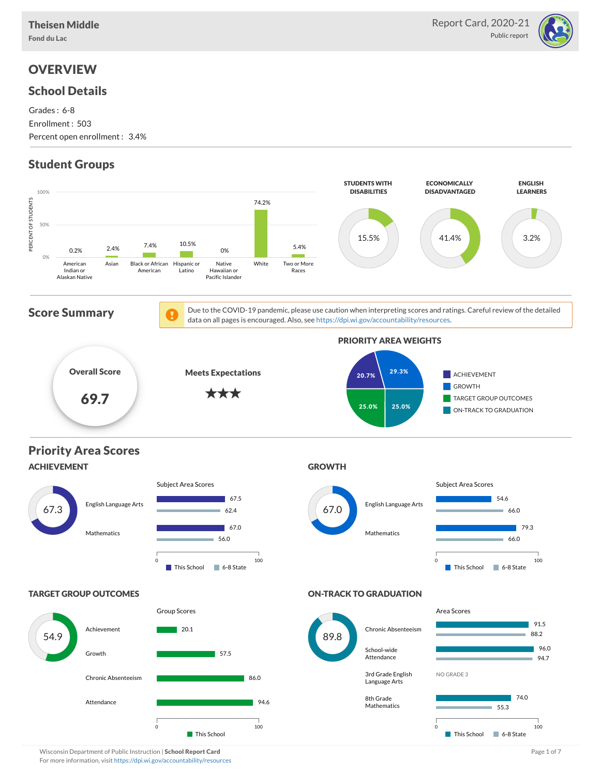Fond du Lac



### **OVERVIEW**

#### School Details

Grades : 6-8 Enrollment : 503 Percent open enrollment : 3.4%

## Student Groups



Wisconsin Department of Public Instruction | School Report Card Page 1 of 7 and 2008 and 2008 and Page 1 of 7 For more information, visit <https://dpi.wi.gov/accountability/resources>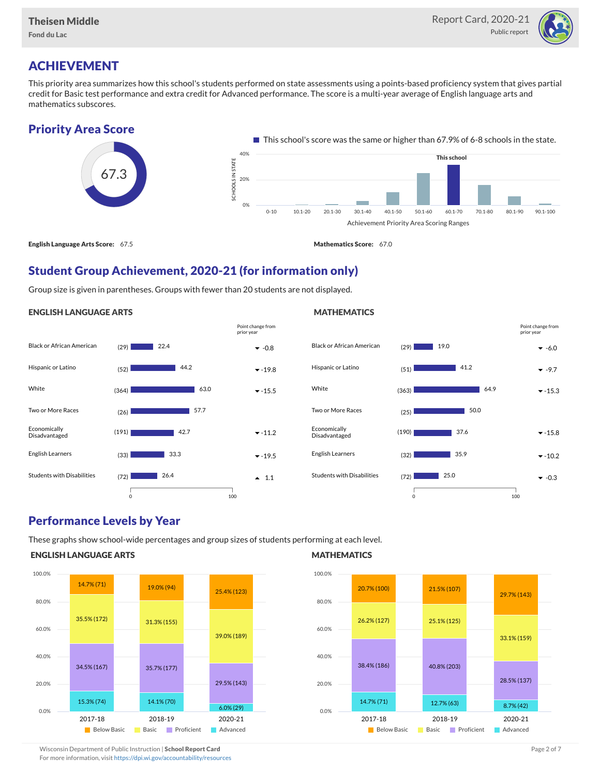

# ACHIEVEMENT

This priority area summarizes how this school's students performed on state assessments using a points-based proficiency system that gives partial credit for Basic test performance and extra credit for Advanced performance. The score is a multi-year average of English language arts and mathematics subscores.

### Priority Area Score



### Student Group Achievement, 2020-21 (for information only)

Group size is given in parentheses. Groups with fewer than 20 students are not displayed.

#### ENGLISH LANGUAGE ARTS



#### Black or African American  $(29)$  **19.0 -6.0 -6.0** Hispanic or Latino  $(51)$   $41.2$   $42.2$ White  $(363)$   $(363)$   $64.9$   $(53)$ Two or More Races (25) Economically Disadvantaged  $(190)$  37.6  $\bullet$  -15.8 English Learners  $(32)$   $35.9$   $\bullet$  -10.2 Students with Disabilities  $(72)$  25.0  $(29)$  19.0  $\blacksquare$  41.2 64.9 | 50.0 37.6 35.9  $| 25.0$ 0 100 Point change from prior year

#### Performance Levels by Year

These graphs show school-wide percentages and group sizes of students performing at each level.

#### ENGLISH LANGUAGE ARTS



#### **MATHEMATICS**

**MATHEMATICS** 



Wisconsin Department of Public Instruction | School Report Card Page 2 of 7 and 2008 and 2009 and 2 of 7 and 2 of 7 and 2 of 7 and 2 of 7 and 2 of 7 and 2 of 7 and 2 of 7 and 2 of 7 and 2 of 7 and 2 of 7 and 2 of 7 and 2 o

For more information, visit <https://dpi.wi.gov/accountability/resources>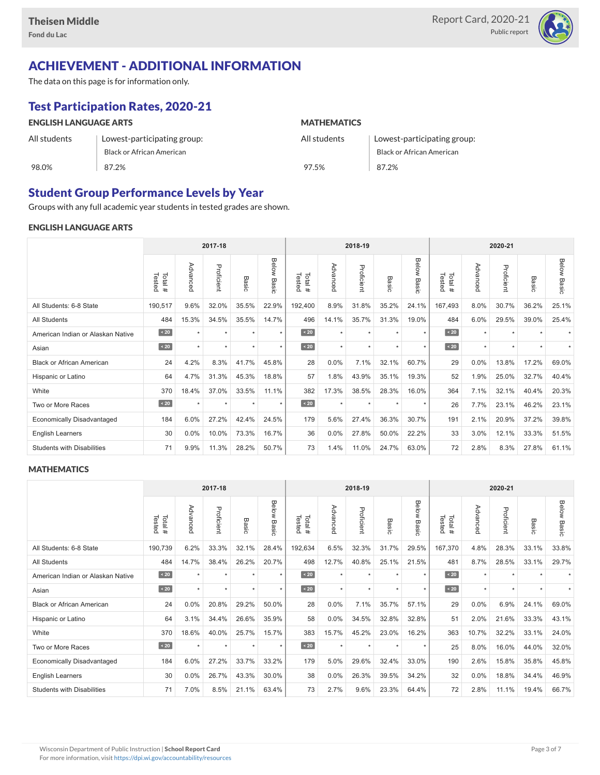

## ACHIEVEMENT - ADDITIONAL INFORMATION

The data on this page is for information only.

## Test Participation Rates, 2020-21

| <b>ENGLISH LANGUAGE ARTS</b> |                                  | <b>MATHEMATICS</b> |                                  |  |  |  |  |  |
|------------------------------|----------------------------------|--------------------|----------------------------------|--|--|--|--|--|
| All students                 | Lowest-participating group:      | All students       | Lowest-participating group:      |  |  |  |  |  |
|                              | <b>Black or African American</b> |                    | <b>Black or African American</b> |  |  |  |  |  |
| 98.0%                        | 87.2%                            | 97.5%              | 87.2%                            |  |  |  |  |  |

### Student Group Performance Levels by Year

Groups with any full academic year students in tested grades are shown.

#### ENGLISH LANGUAGE ARTS

|                                   | 2017-18          |          |            |         |                | 2018-19           |          |            |         |                | 2020-21          |          |            |           |                    |
|-----------------------------------|------------------|----------|------------|---------|----------------|-------------------|----------|------------|---------|----------------|------------------|----------|------------|-----------|--------------------|
|                                   | Tested<br>Total# | Advanced | Proficient | Basic   | Below<br>Basic | Tested<br>Total # | Advanced | Proficient | Basic   | Below<br>Basic | Tested<br>Total# | Advanced | Proficient | Basic     | <b>Below Basic</b> |
| All Students: 6-8 State           | 190,517          | 9.6%     | 32.0%      | 35.5%   | 22.9%          | 192,400           | 8.9%     | 31.8%      | 35.2%   | 24.1%          | 167,493          | 8.0%     | 30.7%      | 36.2%     | 25.1%              |
| <b>All Students</b>               | 484              | 15.3%    | 34.5%      | 35.5%   | 14.7%          | 496               | 14.1%    | 35.7%      | 31.3%   | 19.0%          | 484              | 6.0%     | 29.5%      | 39.0%     | 25.4%              |
| American Indian or Alaskan Native | $\angle 20$      | $\star$  | ٠          | ٠       | $\star$        | $\sim 20$         | $\star$  | $\star$    | $\star$ | $\star$        | $\sim 20$        | $\star$  | $\star$    |           |                    |
| Asian                             | $\sim 20$        | ٠        | ٠          | ٠       | $\star$        | $\angle 20$       | $\star$  | $\star$    | $\star$ | $\star$        | $\sim 20$        | $\star$  | $\star$    | $\ddot{}$ |                    |
| <b>Black or African American</b>  | 24               | 4.2%     | 8.3%       | 41.7%   | 45.8%          | 28                | 0.0%     | 7.1%       | 32.1%   | 60.7%          | 29               | 0.0%     | 13.8%      | 17.2%     | 69.0%              |
| Hispanic or Latino                | 64               | 4.7%     | 31.3%      | 45.3%   | 18.8%          | 57                | 1.8%     | 43.9%      | 35.1%   | 19.3%          | 52               | 1.9%     | 25.0%      | 32.7%     | 40.4%              |
| White                             | 370              | 18.4%    | 37.0%      | 33.5%   | 11.1%          | 382               | 17.3%    | 38.5%      | 28.3%   | 16.0%          | 364              | 7.1%     | 32.1%      | 40.4%     | 20.3%              |
| Two or More Races                 | $\sim 20$        |          | $\star$    | $\star$ | $\star$        | $\sim 20$         | $\star$  | $\star$    |         | $\star$        | 26               | 7.7%     | 23.1%      | 46.2%     | 23.1%              |
| <b>Economically Disadvantaged</b> | 184              | 6.0%     | 27.2%      | 42.4%   | 24.5%          | 179               | 5.6%     | 27.4%      | 36.3%   | 30.7%          | 191              | 2.1%     | 20.9%      | 37.2%     | 39.8%              |
| <b>English Learners</b>           | 30               | $0.0\%$  | 10.0%      | 73.3%   | 16.7%          | 36                | 0.0%     | 27.8%      | 50.0%   | 22.2%          | 33               | 3.0%     | 12.1%      | 33.3%     | 51.5%              |
| <b>Students with Disabilities</b> | 71               | 9.9%     | 11.3%      | 28.2%   | 50.7%          | 73                | 1.4%     | 11.0%      | 24.7%   | 63.0%          | 72               | 2.8%     | 8.3%       | 27.8%     | 61.1%              |

#### **MATHEMATICS**

|                                   |                  |           | 2017-18    |         |                |                  |          | 2018-19    |           |                | 2020-21          |          |            |       |                    |
|-----------------------------------|------------------|-----------|------------|---------|----------------|------------------|----------|------------|-----------|----------------|------------------|----------|------------|-------|--------------------|
|                                   | Tested<br>Total# | Advanced  | Proficient | Basic   | Below<br>Basic | Tested<br>Total# | Advanced | Proficient | Basic     | Below<br>Basic | Tested<br>Total# | Advanced | Proficient | Basic | <b>Below Basic</b> |
| All Students: 6-8 State           | 190,739          | 6.2%      | 33.3%      | 32.1%   | 28.4%          | 192,634          | 6.5%     | 32.3%      | 31.7%     | 29.5%          | 167,370          | 4.8%     | 28.3%      | 33.1% | 33.8%              |
| <b>All Students</b>               | 484              | 14.7%     | 38.4%      | 26.2%   | 20.7%          | 498              | 12.7%    | 40.8%      | 25.1%     | 21.5%          | 481              | 8.7%     | 28.5%      | 33.1% | 29.7%              |
| American Indian or Alaskan Native | $\sim 20$        | $\ddot{}$ | ٠          | ٠       | $\star$        | $\angle 20$      | $\star$  | $\star$    | $\ddot{}$ | $\star$        | $\angle 20$      | $\star$  | ٠          |       |                    |
| Asian                             | $\sim 20$        | $\star$   | $\star$    | $\star$ | $\star$        | $\sim 20$        | $\star$  | $\star$    | $\star$   | $\star$        | $\angle 20$      | $\star$  | $\star$    |       |                    |
| <b>Black or African American</b>  | 24               | 0.0%      | 20.8%      | 29.2%   | 50.0%          | 28               | 0.0%     | 7.1%       | 35.7%     | 57.1%          | 29               | $0.0\%$  | 6.9%       | 24.1% | 69.0%              |
| Hispanic or Latino                | 64               | 3.1%      | 34.4%      | 26.6%   | 35.9%          | 58               | 0.0%     | 34.5%      | 32.8%     | 32.8%          | 51               | 2.0%     | 21.6%      | 33.3% | 43.1%              |
| White                             | 370              | 18.6%     | 40.0%      | 25.7%   | 15.7%          | 383              | 15.7%    | 45.2%      | 23.0%     | 16.2%          | 363              | 10.7%    | 32.2%      | 33.1% | 24.0%              |
| Two or More Races                 | $\sim 20$        | $\ddot{}$ | $\star$    | $\star$ | $\star$        | $\sim 20$        | $\star$  | $\star$    | $\ddot{}$ | $\star$        | 25               | 8.0%     | 16.0%      | 44.0% | 32.0%              |
| <b>Economically Disadvantaged</b> | 184              | 6.0%      | 27.2%      | 33.7%   | 33.2%          | 179              | 5.0%     | 29.6%      | 32.4%     | 33.0%          | 190              | 2.6%     | 15.8%      | 35.8% | 45.8%              |
| <b>English Learners</b>           | 30               | 0.0%      | 26.7%      | 43.3%   | 30.0%          | 38               | 0.0%     | 26.3%      | 39.5%     | 34.2%          | 32               | 0.0%     | 18.8%      | 34.4% | 46.9%              |
| <b>Students with Disabilities</b> | 71               | 7.0%      | 8.5%       | 21.1%   | 63.4%          | 73               | 2.7%     | 9.6%       | 23.3%     | 64.4%          | 72               | 2.8%     | 11.1%      | 19.4% | 66.7%              |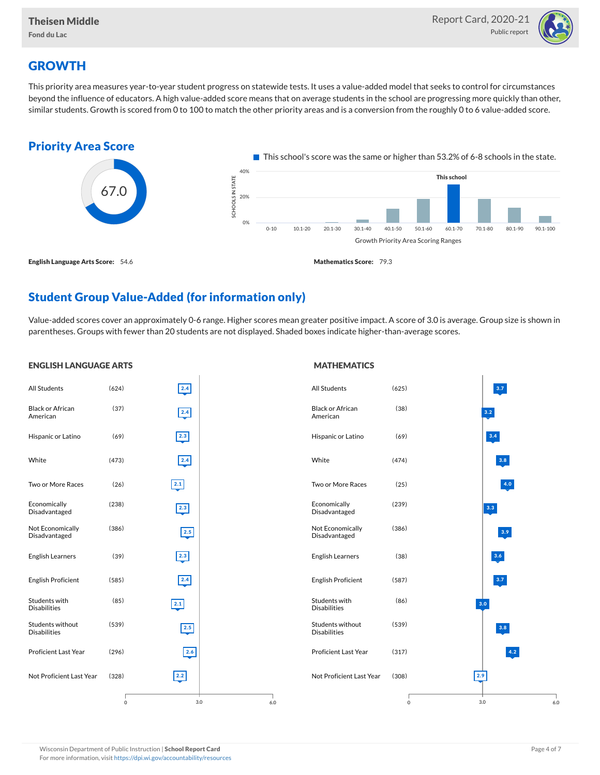

## **GROWTH**

This priority area measures year-to-year student progress on statewide tests. It uses a value-added model that seeks to control for circumstances beyond the influence of educators. A high value-added score means that on average students in the school are progressing more quickly than other, similar students. Growth is scored from 0 to 100 to match the other priority areas and is a conversion from the roughly 0 to 6 value-added score.



## Student Group Value-Added (for information only)

Value-added scores cover an approximately 0-6 range. Higher scores mean greater positive impact. A score of 3.0 is average. Group size is shown in parentheses. Groups with fewer than 20 students are not displayed. Shaded boxes indicate higher-than-average scores.

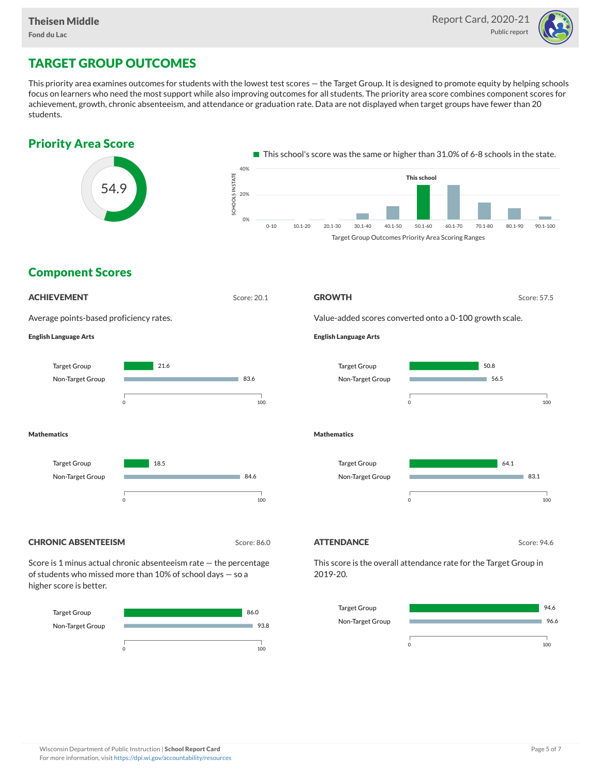

# TARGET GROUP OUTCOMES

This priority area examines outcomes for students with the lowest test scores — the Target Group. It is designed to promote equity by helping schools focus on learners who need the most support while also improving outcomes for all students. The priority area score combines component scores for achievement, growth, chronic absenteeism, and attendance or graduation rate. Data are not displayed when target groups have fewer than 20 students.







higher score is better.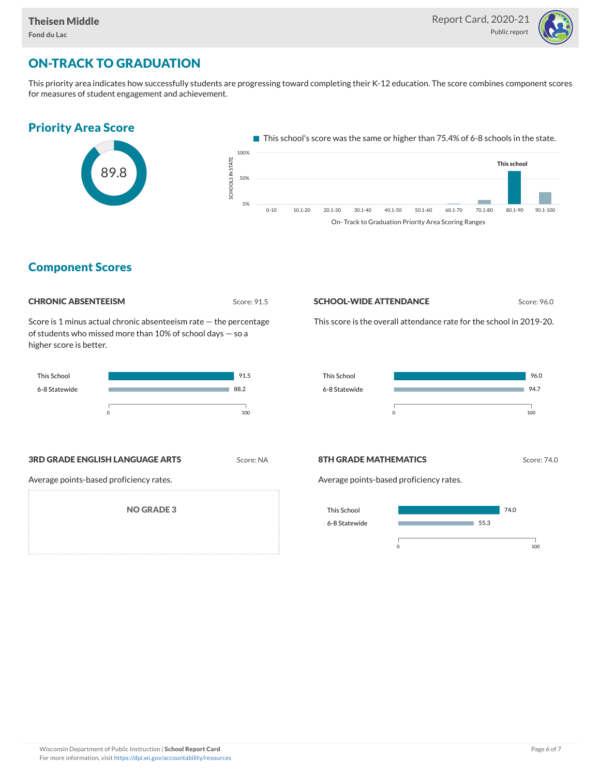

# ON-TRACK TO GRADUATION

This priority area indicates how successfully students are progressing toward completing their K-12 education. The score combines component scores for measures of student engagement and achievement.



Component Scores